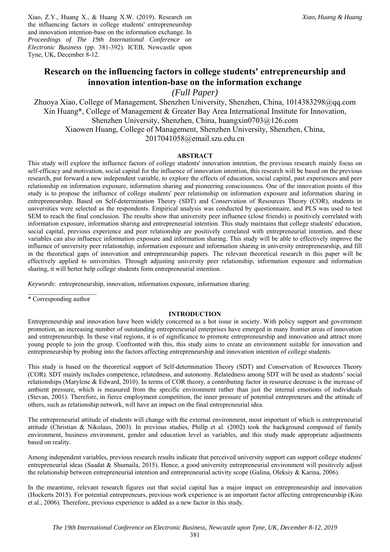Xiao, Z.Y., Huang X., & Huang X.W. (2019). Research on the influencing factors in college students' entrepreneurship and innovation intention-base on the information exchange. In *Proceedings of The 19th International Conference on Electronic Business* (pp. 381-392). ICEB, Newcastle upon Tyne, UK, December 8-12.

# **Research on the influencing factors in college students' entrepreneurship and innovation intention-base on the information exchange**

*(Full Paper)* 

Zhuoya Xiao, College of Management, Shenzhen University, Shenzhen, China, 1014383298@qq.com Xin Huang\*, College of Management & Greater Bay Area International Institute for Innovation, Shenzhen University, Shenzhen, China, huangxin0703@126.com Xiaowen Huang, College of Management, Shenzhen University, Shenzhen, China, 2017041058@email.szu.edu.cn

# **ABSTRACT**

This study will explore the influence factors of college students' innovation intention, the previous research mainly focus on self-efficacy and motivation, social capital for the influence of innovation intention, this research will be based on the previous research, put forward a new independent variable, to explore the effects of education, social capital, past experiences and peer relationship on information exposure, information sharing and pioneering consciousness. One of the innovation points of this study is to propose the influence of college students' peer relationship on information exposure and information sharing in entrepreneurship. Based on Self-determination Theory (SDT) and Conservation of Resources Theory (COR), students in universities were selected as the respondents. Empirical analysis was conducted by questionnaire, and PLS was used to test SEM to reach the final conclusion. The results show that university peer influence (close friends) is positively correlated with information exposure, information sharing and entrepreneurial intention. This study maintains that college students' education, social capital, previous experience and peer relationship are positively correlated with entrepreneurial intention, and these variables can also influence information exposure and information sharing. This study will be able to effectively improve the influence of university peer relationship, information exposure and information sharing in university entrepreneurship, and fill in the theoretical gaps of innovation and entrepreneurship papers. The relevant theoretical research in this paper will be effectively applied to universities. Through adjusting university peer relationship, information exposure and information sharing, it will better help college students form entrepreneurial intention.

*Keywords*: entrepreneurship, innovation, information exposure, information sharing.

 $\mathcal{L}_\text{max}$ \* Corresponding author

# **INTRODUCTION**

Entrepreneurship and innovation have been widely concerned as a hot issue in society. With policy support and government promotion, an increasing number of outstanding entrepreneurial enterprises have emerged in many frontier areas of innovation and entrepreneurship. In these vital regions, it is of significance to promote entrepreneurship and innovation and attract more young people to join the group. Confronted with this, this study aims to create an environment suitable for innovation and entrepreneurship by probing into the factors affecting entrepreneurship and innovation intention of college students.

This study is based on the theoretical support of Self-determination Theory (SDT) and Conservation of Resources Theory (COR). SDT mainly includes competence, relatedness, and autonomy. Relatedness among SDT will be used as students' social relationships (Marylene & Edward, 2010). In terms of COR theory, a contributing factor in resource decrease is the increase of ambient pressure, which is measured from the specific environment rather than just the internal emotions of individuals (Stevan, 2001). Therefore, in fierce employment competition, the inner pressure of potential entrepreneurs and the attitude of others, such as relationship network, will have an impact on the final entrepreneurial idea.

The entrepreneurial attitude of students will change with the external environment, most important of which is entrepreneurial attitude (Christian & Nikolaus, 2003). In previous studies, Phillp et al. (2002) took the background composed of family environment, business environment, gender and education level as variables, and this study made appropriate adjustments based on reality.

Among independent variables, previous research results indicate that perceived university support can support college students' entrepreneurial ideas (Saadat & Shumaila, 2015). Hence, a good university entrepreneurial environment will positively adjust the relationship between entrepreneurial intention and entrepreneurial activity scope (Galina, Oleksiy & Karina, 2006).

In the meantime, relevant research figures out that social capital has a major impact on entrepreneurship and innovation (Hockerts 2015). For potential entrepreneurs, previous work experience is an important factor affecting entrepreneurship (Kim et al., 2006). Therefore, previous experience is added as a new factor in this study.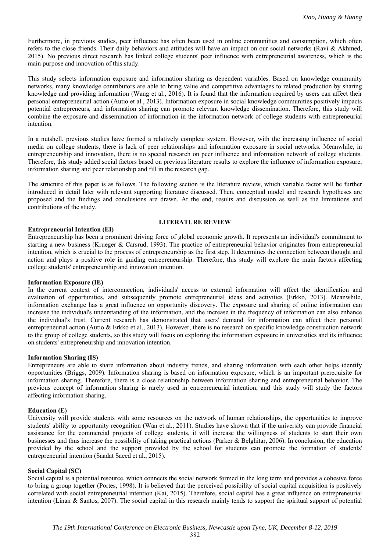Furthermore, in previous studies, peer influence has often been used in online communities and consumption, which often refers to the close friends. Their daily behaviors and attitudes will have an impact on our social networks (Ravi & Akhmed, 2015). No previous direct research has linked college students' peer influence with entrepreneurial awareness, which is the main purpose and innovation of this study.

This study selects information exposure and information sharing as dependent variables. Based on knowledge community networks, many knowledge contributors are able to bring value and competitive advantages to related production by sharing knowledge and providing information (Wang et al., 2016). It is found that the information required by users can affect their personal entrepreneurial action (Autio et al., 2013). Information exposure in social knowledge communities positively impacts potential entrepreneurs, and information sharing can promote relevant knowledge dissemination. Therefore, this study will combine the exposure and dissemination of information in the information network of college students with entrepreneurial intention.

In a nutshell, previous studies have formed a relatively complete system. However, with the increasing influence of social media on college students, there is lack of peer relationships and information exposure in social networks. Meanwhile, in entrepreneurship and innovation, there is no special research on peer influence and information network of college students. Therefore, this study added social factors based on previous literature results to explore the influence of information exposure, information sharing and peer relationship and fill in the research gap.

The structure of this paper is as follows. The following section is the literature review, which variable factor will be further introduced in detail later with relevant supporting literature discussed. Then, conceptual model and research hypotheses are proposed and the findings and conclusions are drawn. At the end, results and discussion as well as the limitations and contributions of the study.

# **LITERATURE REVIEW**

#### **Entrepreneurial Intention (EI)**

Entrepreneurship has been a prominent driving force of global economic growth. It represents an individual's commitment to starting a new business (Krueger & Carsrud, 1993). The practice of entrepreneurial behavior originates from entrepreneurial intention, which is crucial to the process of entrepreneurship as the first step. It determines the connection between thought and action and plays a positive role in guiding entrepreneurship. Therefore, this study will explore the main factors affecting college students' entrepreneurship and innovation intention.

# **Information Exposure (IE)**

In the current context of interconnection, individuals' access to external information will affect the identification and evaluation of opportunities, and subsequently promote entrepreneurial ideas and activities (Erkko, 2013). Meanwhile, information exchange has a great influence on opportunity discovery. The exposure and sharing of online information can increase the individual's understanding of the information, and the increase in the frequency of information can also enhance the individual's trust. Current research has demonstrated that users' demand for information can affect their personal entrepreneurial action (Autio & Erkko et al., 2013). However, there is no research on specific knowledge construction network to the group of college students, so this study will focus on exploring the information exposure in universities and its influence on students' entrepreneurship and innovation intention.

#### **Information Sharing (IS)**

Entrepreneurs are able to share information about industry trends, and sharing information with each other helps identify opportunities (Briggs, 2009). Information sharing is based on information exposure, which is an important prerequisite for information sharing. Therefore, there is a close relationship between information sharing and entrepreneurial behavior. The previous concept of information sharing is rarely used in entrepreneurial intention, and this study will study the factors affecting information sharing.

#### **Education (E)**

University will provide students with some resources on the network of human relationships, the opportunities to improve students' ability to opportunity recognition (Wan et al., 2011). Studies have shown that if the university can provide financial assistance for the commercial projects of college students, it will increase the willingness of students to start their own businesses and thus increase the possibility of taking practical actions (Parker & Belghitar, 2006). In conclusion, the education provided by the school and the support provided by the school for students can promote the formation of students' entrepreneurial intention (Saadat Saeed et al., 2015).

# **Social Capital (SC)**

Social capital is a potential resource, which connects the social network formed in the long term and provides a cohesive force to bring a group together (Portes, 1998). It is believed that the perceived possibility of social capital acquisition is positively correlated with social entrepreneurial intention (Kai, 2015). Therefore, social capital has a great influence on entrepreneurial intention (Linan & Santos, 2007). The social capital in this research mainly tends to support the spiritual support of potential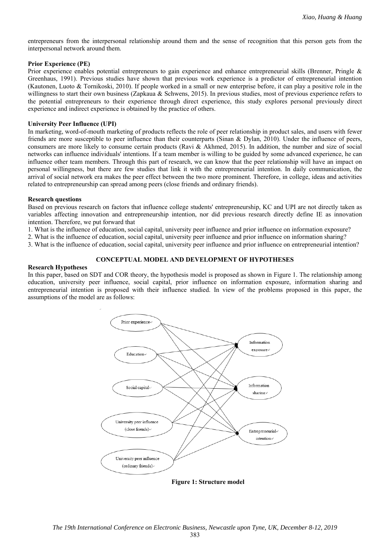entrepreneurs from the interpersonal relationship around them and the sense of recognition that this person gets from the interpersonal network around them.

# **Prior Experience (PE)**

Prior experience enables potential entrepreneurs to gain experience and enhance entrepreneurial skills (Brenner, Pringle & Greenhaus, 1991). Previous studies have shown that previous work experience is a predictor of entrepreneurial intention (Kautonen, Luoto & Tornikoski, 2010). If people worked in a small or new enterprise before, it can play a positive role in the willingness to start their own business (Zapkaua & Schwens, 2015). In previous studies, most of previous experience refers to the potential entrepreneurs to their experience through direct experience, this study explores personal previously direct experience and indirect experience is obtained by the practice of others.

# **University Peer Influence (UPI)**

In marketing, word-of-mouth marketing of products reflects the role of peer relationship in product sales, and users with fewer friends are more susceptible to peer influence than their counterparts (Sinan & Dylan, 2010). Under the influence of peers, consumers are more likely to consume certain products (Ravi & Akhmed, 2015). In addition, the number and size of social networks can influence individuals' intentions. If a team member is willing to be guided by some advanced experience, he can influence other team members. Through this part of research, we can know that the peer relationship will have an impact on personal willingness, but there are few studies that link it with the entrepreneurial intention. In daily communication, the arrival of social network era makes the peer effect between the two more prominent. Therefore, in college, ideas and activities related to entrepreneurship can spread among peers (close friends and ordinary friends).

# **Research questions**

Based on previous research on factors that influence college students' entrepreneurship, KC and UPI are not directly taken as variables affecting innovation and entrepreneurship intention, nor did previous research directly define IE as innovation intention. Therefore, we put forward that

- 1. What is the influence of education, social capital, university peer influence and prior influence on information exposure?
- 2. What is the influence of education, social capital, university peer influence and prior influence on information sharing?

3. What is the influence of education, social capital, university peer influence and prior influence on entrepreneurial intention?

# **CONCEPTUAL MODEL AND DEVELOPMENT OF HYPOTHESES**

# **Research Hypotheses**

In this paper, based on SDT and COR theory, the hypothesis model is proposed as shown in Figure 1. The relationship among education, university peer influence, social capital, prior influence on information exposure, information sharing and entrepreneurial intention is proposed with their influence studied. In view of the problems proposed in this paper, the assumptions of the model are as follows:



**Figure 1: Structure model**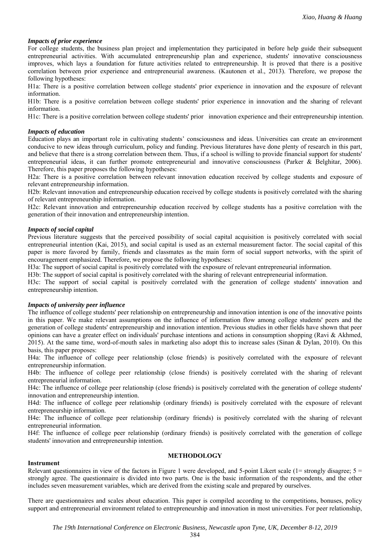# *Impacts of prior experience*

For college students, the business plan project and implementation they participated in before help guide their subsequent entrepreneurial activities. With accumulated entrepreneurship plan and experience, students' innovative consciousness improves, which lays a foundation for future activities related to entrepreneurship. It is proved that there is a positive correlation between prior experience and entrepreneurial awareness. (Kautonen et al., 2013). Therefore, we propose the following hypotheses:

H1a: There is a positive correlation between college students' prior experience in innovation and the exposure of relevant information.

H1b: There is a positive correlation between college students' prior experience in innovation and the sharing of relevant information.

H1c: There is a positive correlation between college students' prior innovation experience and their entrepreneurship intention.

# *Impacts of education*

Education plays an important role in cultivating students' consciousness and ideas. Universities can create an environment conducive to new ideas through curriculum, policy and funding. Previous literatures have done plenty of research in this part, and believe that there is a strong correlation between them. Thus, if a school is willing to provide financial support for students' entrepreneurial ideas, it can further promote entrepreneurial and innovative consciousness (Parker & Belghitar, 2006). Therefore, this paper proposes the following hypotheses:

H2a: There is a positive correlation between relevant innovation education received by college students and exposure of relevant entrepreneurship information.

H2b: Relevant innovation and entrepreneurship education received by college students is positively correlated with the sharing of relevant entrepreneurship information.

H2c: Relevant innovation and entrepreneurship education received by college students has a positive correlation with the generation of their innovation and entrepreneurship intention.

#### *Impacts of social capital*

Previous literature suggests that the perceived possibility of social capital acquisition is positively correlated with social entrepreneurial intention (Kai, 2015), and social capital is used as an external measurement factor. The social capital of this paper is more favored by family, friends and classmates as the main form of social support networks, with the spirit of encouragement emphasized. Therefore, we propose the following hypotheses:

H3a: The support of social capital is positively correlated with the exposure of relevant entrepreneurial information.

H3b: The support of social capital is positively correlated with the sharing of relevant entrepreneurial information.

H3c: The support of social capital is positively correlated with the generation of college students' innovation and entrepreneurship intention.

#### *Impacts of university peer influence*

The influence of college students' peer relationship on entrepreneurship and innovation intention is one of the innovative points in this paper. We make relevant assumptions on the influence of information flow among college students' peers and the generation of college students' entrepreneurship and innovation intention. Previous studies in other fields have shown that peer opinions can have a greater effect on individuals' purchase intentions and actions in consumption shopping (Ravi & Akhmed, 2015). At the same time, word-of-mouth sales in marketing also adopt this to increase sales (Sinan & Dylan, 2010). On this basis, this paper proposes:

H4a: The influence of college peer relationship (close friends) is positively correlated with the exposure of relevant entrepreneurship information.

H4b: The influence of college peer relationship (close friends) is positively correlated with the sharing of relevant entrepreneurial information.

H4c: The influence of college peer relationship (close friends) is positively correlated with the generation of college students' innovation and entrepreneurship intention.

H4d: The influence of college peer relationship (ordinary friends) is positively correlated with the exposure of relevant entrepreneurship information.

H4e: The influence of college peer relationship (ordinary friends) is positively correlated with the sharing of relevant entrepreneurial information.

H4f: The influence of college peer relationship (ordinary friends) is positively correlated with the generation of college students' innovation and entrepreneurship intention.

# **METHODOLOGY**

#### **Instrument**

Relevant questionnaires in view of the factors in Figure 1 were developed, and 5-point Likert scale ( $1$ = strongly disagree;  $5$  = strongly agree. The questionnaire is divided into two parts. One is the basic information of the respondents, and the other includes seven measurement variables, which are derived from the existing scale and prepared by ourselves.

There are questionnaires and scales about education. This paper is compiled according to the competitions, bonuses, policy support and entrepreneurial environment related to entrepreneurship and innovation in most universities. For peer relationship,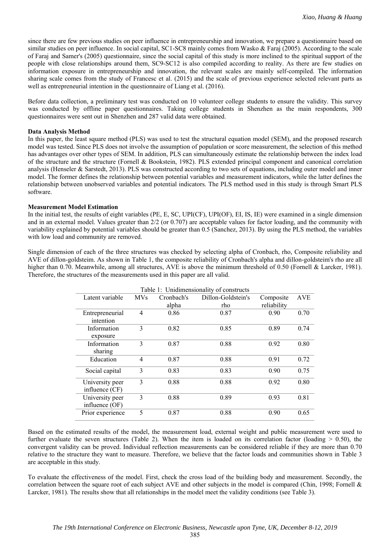since there are few previous studies on peer influence in entrepreneurship and innovation, we prepare a questionnaire based on similar studies on peer influence. In social capital, SC1-SC8 mainly comes from Wasko & Faraj (2005). According to the scale of Faraj and Samer's (2005) questionnaire, since the social capital of this study is more inclined to the spiritual support of the people with close relationships around them, SC9-SC12 is also compiled according to reality. As there are few studies on information exposure in entrepreneurship and innovation, the relevant scales are mainly self-compiled. The information sharing scale comes from the study of Francesc et al. (2015) and the scale of previous experience selected relevant parts as well as entrepreneurial intention in the questionnaire of Liang et al. (2016).

Before data collection, a preliminary test was conducted on 10 volunteer college students to ensure the validity. This survey was conducted by offline paper questionnaires. Taking college students in Shenzhen as the main respondents, 300 questionnaires were sent out in Shenzhen and 287 valid data were obtained.

# **Data Analysis Method**

In this paper, the least square method (PLS) was used to test the structural equation model (SEM), and the proposed research model was tested. Since PLS does not involve the assumption of population or score measurement, the selection of this method has advantages over other types of SEM. In addition, PLS can simultaneously estimate the relationship between the index load of the structure and the structure (Fornell & Bookstein, 1982). PLS extended principal component and canonical correlation analysis (Henseler & Sarstedt, 2013). PLS was constructed according to two sets of equations, including outer model and inner model. The former defines the relationship between potential variables and measurement indicators, while the latter defines the relationship between unobserved variables and potential indicators. The PLS method used in this study is through Smart PLS software.

# **Measurement Model Estimation**

In the initial test, the results of eight variables (PE, E, SC, UPI(CF), UPI(OF), EI, IS, IE) were examined in a single dimension and in an external model. Values greater than  $2/2$  (or 0.707) are acceptable values for factor loading, and the community with variability explained by potential variables should be greater than 0.5 (Sanchez, 2013). By using the PLS method, the variables with low load and community are removed.

Single dimension of each of the three structures was checked by selecting alpha of Cronbach, rho, Composite reliability and AVE of dillon-goldsteim. As shown in Table 1, the composite reliability of Cronbach's alpha and dillon-goldsteim's rho are all higher than 0.70. Meanwhile, among all structures, AVE is above the minimum threshold of 0.50 (Fornell & Larcker, 1981). Therefore, the structures of the measurements used in this paper are all valid.

| Table 1: Unidimensionality of constructs |            |            |                    |             |            |
|------------------------------------------|------------|------------|--------------------|-------------|------------|
| Latent variable                          | <b>MVs</b> | Cronbach's | Dillon-Goldstein's | Composite   | <b>AVE</b> |
|                                          |            | alpha      | rho                | reliability |            |
| Entrepreneurial                          | 4          | 0.86       | 0.87               | 0.90        | 0.70       |
| intention                                |            |            |                    |             |            |
| Information                              | 3          | 0.82       | 0.85               | 0.89        | 0.74       |
| exposure                                 |            |            |                    |             |            |
| Information                              | 3          | 0.87       | 0.88               | 0.92        | 0.80       |
| sharing                                  |            |            |                    |             |            |
| Education                                | 4          | 0.87       | 0.88               | 0.91        | 0.72       |
| Social capital                           | 3          | 0.83       | 0.83               | 0.90        | 0.75       |
| University peer                          | 3          | 0.88       | 0.88               | 0.92        | 0.80       |
| influence (CF)                           |            |            |                    |             |            |
| University peer                          | 3          | 0.88       | 0.89               | 0.93        | 0.81       |
| influence (OF)                           |            |            |                    |             |            |
| Prior experience                         | 5          | 0.87       | 0.88               | 0.90        | 0.65       |

Based on the estimated results of the model, the measurement load, external weight and public measurement were used to further evaluate the seven structures (Table 2). When the item is loaded on its correlation factor (loading  $> 0.50$ ), the convergent validity can be proved. Individual reflection measurements can be considered reliable if they are more than 0.70 relative to the structure they want to measure. Therefore, we believe that the factor loads and communities shown in Table 3 are acceptable in this study.

To evaluate the effectiveness of the model. First, check the cross load of the building body and measurement. Secondly, the correlation between the square root of each subject AVE and other subjects in the model is compared (Chin, 1998; Fornell & Larcker, 1981). The results show that all relationships in the model meet the validity conditions (see Table 3).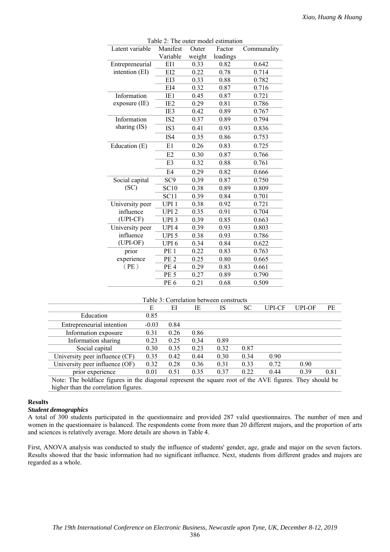| Latent variable | $1$ able $2.$ The outer model estimation<br>Manifest | Outer  | Factor   | Communality |
|-----------------|------------------------------------------------------|--------|----------|-------------|
|                 | Variable                                             | weight | loadings |             |
| Entrepreneurial | EI1                                                  | 0.33   | 0.82     | 0.642       |
| intention (EI)  | EI2                                                  | 0.22   | 0.78     | 0.714       |
|                 | EI3                                                  | 0.33   | 0.88     | 0.782       |
|                 | EI4                                                  | 0.32   | 0.87     | 0.716       |
| Information     | IE1                                                  | 0.45   | 0.87     | 0.721       |
| $exposure$ (IE) | IE <sub>2</sub>                                      | 0.29   | 0.81     | 0.786       |
|                 | IE3                                                  | 0.42   | 0.89     | 0.767       |
| Information     | IS <sub>2</sub>                                      | 0.37   | 0.89     | 0.794       |
| sharing (IS)    | IS3                                                  | 0.41   | 0.93     | 0.836       |
|                 | IS4                                                  | 0.35   | 0.86     | 0.753       |
| Education (E)   | E1                                                   | 0.26   | 0.83     | 0.725       |
|                 | E2                                                   | 0.30   | 0.87     | 0.766       |
|                 | E <sub>3</sub>                                       | 0.32   | 0.88     | 0.761       |
|                 | E <sub>4</sub>                                       | 0.29   | 0.82     | 0.666       |
| Social capital  | SC <sub>9</sub>                                      | 0.39   | 0.87     | 0.750       |
| (SC)            | $\overline{SC}10$                                    | 0.38   | 0.89     | 0.809       |
|                 | SC11                                                 | 0.39   | 0.84     | 0.701       |
| University peer | UPI <sub>1</sub>                                     | 0.38   | 0.92     | 0.721       |
| influence       | UPI <sub>2</sub>                                     | 0.35   | 0.91     | 0.704       |
| (UPI-CF)        | UPI <sub>3</sub>                                     | 0.39   | 0.85     | 0.663       |
| University peer | UPI <sub>4</sub>                                     | 0.39   | 0.93     | 0.803       |
| influence       | UPI <sub>5</sub>                                     | 0.38   | 0.93     | 0.786       |
| (UPI-OF)        | UPI <sub>6</sub>                                     | 0.34   | 0.84     | 0.622       |
| prior           | PE <sub>1</sub>                                      | 0.22   | 0.83     | 0.763       |
| experience      | PE <sub>2</sub>                                      | 0.25   | 0.80     | 0.665       |
| (PE)            | PE <sub>4</sub>                                      | 0.29   | 0.83     | 0.661       |
|                 | PE <sub>5</sub>                                      | 0.27   | 0.89     | 0.790       |
|                 | PE <sub>6</sub>                                      | 0.21   | 0.68     | 0.509       |

Table 2: The outer model estimation

### Table 3: Correlation between constructs

|                                                                                                         | E       | ЕI   | IE   | IS   | SС   | UPI-CF | <b>UPI-OF</b> | PE   |
|---------------------------------------------------------------------------------------------------------|---------|------|------|------|------|--------|---------------|------|
| Education                                                                                               | 0.85    |      |      |      |      |        |               |      |
| Entrepreneurial intention                                                                               | $-0.03$ | 0.84 |      |      |      |        |               |      |
| Information exposure                                                                                    | 0.31    | 0.26 | 0.86 |      |      |        |               |      |
| Information sharing                                                                                     | 0.23    | 0.25 | 0.34 | 0.89 |      |        |               |      |
| Social capital                                                                                          | 0.30    | 0.35 | 0.23 | 0.32 | 0.87 |        |               |      |
| University peer influence (CF)                                                                          | 0.35    | 0.42 | 0.44 | 0.30 | 0.34 | 0.90   |               |      |
| University peer influence (OF)                                                                          | 0.32    | 0.28 | 0.36 | 0.31 | 0.33 | 0.72   | 0.90          |      |
| prior experience                                                                                        | 0.01    | 0.51 | 0.35 | 0.37 | 0.22 | 0.44   | 0.39          | 0.81 |
| Note: The boldface figures in the diagonal represent the square root of the AVE figures. They should be |         |      |      |      |      |        |               |      |
| higher than the correlation figures.                                                                    |         |      |      |      |      |        |               |      |

#### **Results**

#### *Student demographics*

A total of 300 students participated in the questionnaire and provided 287 valid questionnaires. The number of men and women in the questionnaire is balanced. The respondents come from more than 20 different majors, and the proportion of arts and sciences is relatively average. More details are shown in Table 4.

First, ANOVA analysis was conducted to study the influence of students' gender, age, grade and major on the seven factors. Results showed that the basic information had no significant influence. Next, students from different grades and majors are regarded as a whole.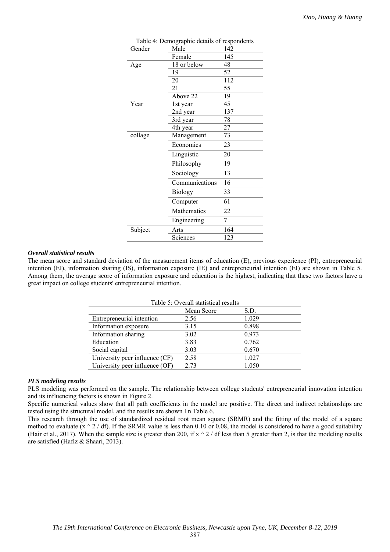| Gender  | Table 4: Demographic details of respondents<br>Male | 142 |
|---------|-----------------------------------------------------|-----|
|         | Female                                              | 145 |
| Age     | 18 or below                                         | 48  |
|         | 19                                                  | 52  |
|         | 20                                                  | 112 |
|         | 21                                                  | 55  |
|         | Above 22                                            | 19  |
| Year    | 1st year                                            | 45  |
|         | 2nd year                                            | 137 |
|         | 3rd year                                            | 78  |
|         | 4th year                                            | 27  |
| collage | Management                                          | 73  |
|         | Economics                                           | 23  |
|         | Linguistic                                          | 20  |
|         | Philosophy                                          | 19  |
|         | Sociology                                           | 13  |
|         | Communications                                      | 16  |
|         | <b>Biology</b>                                      | 33  |
|         | Computer                                            | 61  |
|         | Mathematics                                         | 22  |
|         | Engineering                                         | 7   |
| Subject | Arts                                                | 164 |
|         | Sciences                                            | 123 |

#### *Overall statistical results*

The mean score and standard deviation of the measurement items of education (E), previous experience (PI), entrepreneurial intention (EI), information sharing (IS), information exposure (IE) and entrepreneurial intention (EI) are shown in Table 5. Among them, the average score of information exposure and education is the highest, indicating that these two factors have a great impact on college students' entrepreneurial intention.

| Table 5: Overall statistical results |            |       |  |  |  |
|--------------------------------------|------------|-------|--|--|--|
|                                      | Mean Score | S.D.  |  |  |  |
| Entrepreneurial intention            | 2.56       | 1.029 |  |  |  |
| Information exposure                 | 3.15       | 0.898 |  |  |  |
| Information sharing                  | 3.02       | 0.973 |  |  |  |
| Education                            | 3.83       | 0.762 |  |  |  |
| Social capital                       | 3.03       | 0.670 |  |  |  |
| University peer influence (CF)       | 2.58       | 1.027 |  |  |  |
| University peer influence (OF)       | 2.73       | 1.050 |  |  |  |

### *PLS modeling results*

PLS modeling was performed on the sample. The relationship between college students' entrepreneurial innovation intention and its influencing factors is shown in Figure 2.

Specific numerical values show that all path coefficients in the model are positive. The direct and indirect relationships are tested using the structural model, and the results are shown I n Table 6.

This research through the use of standardized residual root mean square (SRMR) and the fitting of the model of a square method to evaluate  $(x \wedge 2 / df)$ . If the SRMR value is less than 0.10 or 0.08, the model is considered to have a good suitability (Hair et al., 2017). When the sample size is greater than 200, if  $x \wedge 2$  / df less than 5 greater than 2, is that the modeling results are satisfied (Hafiz & Shaari, 2013).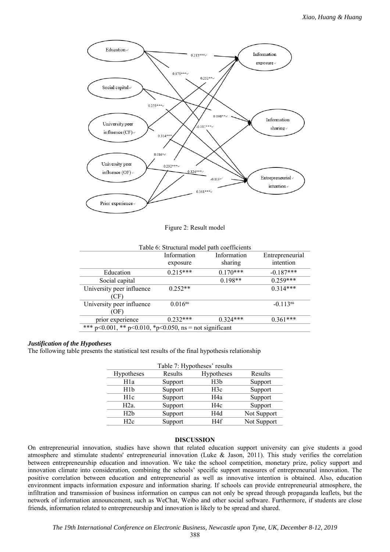

Figure 2: Result model

| Table 6: Structural model path coefficients             |              |             |                        |  |
|---------------------------------------------------------|--------------|-------------|------------------------|--|
|                                                         | Information  | Information | Entrepreneurial        |  |
|                                                         | exposure     | sharing     | intention              |  |
| Education                                               | $0.215***$   | $0.170***$  | $-0.187***$            |  |
| Social capital                                          |              | $0.198**$   | $0.259***$             |  |
| University peer influence                               | $0.252**$    |             | $0.314***$             |  |
| CF`                                                     |              |             |                        |  |
| University peer influence                               | $0.016^{ns}$ |             | $-0.113$ <sup>ns</sup> |  |
| (OF)                                                    |              |             |                        |  |
| prior experience                                        | $0.232***$   | $0.324***$  | $0.361***$             |  |
| *** p<0.001, ** p<0.010, *p<0.050, ns = not significant |              |             |                        |  |

#### *Justification of the Hypotheses*

The following table presents the statistical test results of the final hypothesis relationship

| Table 7: Hypotheses' results |         |                  |             |  |
|------------------------------|---------|------------------|-------------|--|
| Hypotheses                   | Results | Hypotheses       | Results     |  |
| H <sub>1</sub> a             | Support | H3b              | Support     |  |
| H1b                          | Support | H3c              | Support     |  |
| H1c                          | Support | H <sub>4</sub> a | Support     |  |
| H2a                          | Support | H <sub>4c</sub>  | Support     |  |
| H2h                          | Support | H4d              | Not Support |  |
| H2c                          | Support | H <sub>4f</sub>  | Not Support |  |

#### **DISCUSSION**

On entrepreneurial innovation, studies have shown that related education support university can give students a good atmosphere and stimulate students' entrepreneurial innovation (Luke & Jason, 2011). This study verifies the correlation between entrepreneurship education and innovation. We take the school competition, monetary prize, policy support and innovation climate into consideration, combining the schools' specific support measures of entrepreneurial innovation. The positive correlation between education and entrepreneurial as well as innovative intention is obtained. Also, education environment impacts information exposure and information sharing. If schools can provide entrepreneurial atmosphere, the infiltration and transmission of business information on campus can not only be spread through propaganda leaflets, but the network of information announcement, such as WeChat, Weibo and other social software. Furthermore, if students are close friends, information related to entrepreneurship and innovation is likely to be spread and shared.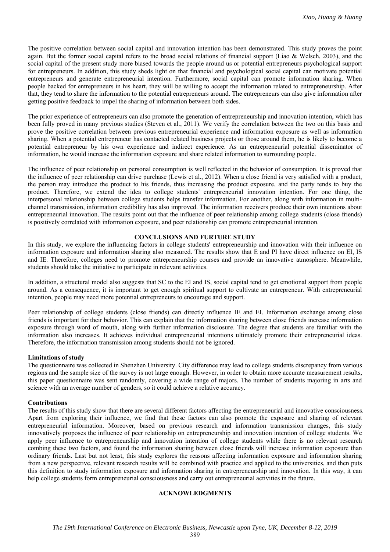The positive correlation between social capital and innovation intention has been demonstrated. This study proves the point again. But the former social capital refers to the broad social relations of financial support (Liao & Welsch, 2003), and the social capital of the present study more biased towards the people around us or potential entrepreneurs psychological support for entrepreneurs. In addition, this study sheds light on that financial and psychological social capital can motivate potential entrepreneurs and generate entrepreneurial intention. Furthermore, social capital can promote information sharing. When people backed for entrepreneurs in his heart, they will be willing to accept the information related to entrepreneurship. After that, they tend to share the information to the potential entrepreneurs around. The entrepreneurs can also give information after getting positive feedback to impel the sharing of information between both sides.

The prior experience of entrepreneurs can also promote the generation of entrepreneurship and innovation intention, which has been fully proved in many previous studies (Steven et al., 2011). We verify the correlation between the two on this basis and prove the positive correlation between previous entrepreneurial experience and information exposure as well as information sharing. When a potential entrepreneur has contacted related business projects or those around them, he is likely to become a potential entrepreneur by his own experience and indirect experience. As an entrepreneurial potential disseminator of information, he would increase the information exposure and share related information to surrounding people.

The influence of peer relationship on personal consumption is well reflected in the behavior of consumption. It is proved that the influence of peer relationship can drive purchase (Lewis et al., 2012). When a close friend is very satisfied with a product, the person may introduce the product to his friends, thus increasing the product exposure, and the party tends to buy the product. Therefore, we extend the idea to college students' entrepreneurial innovation intention. For one thing, the interpersonal relationship between college students helps transfer information. For another, along with information in multichannel transmission, information credibility has also improved. The information receivers produce their own intentions about entrepreneurial innovation. The results point out that the influence of peer relationship among college students (close friends) is positively correlated with information exposure, and peer relationship can promote entrepreneurial intention.

# **CONCLUSIONS AND FURTURE STUDY**

In this study, we explore the influencing factors in college students' entrepreneurship and innovation with their influence on information exposure and information sharing also measured. The results show that E and PI have direct influence on EI, IS and IE. Therefore, colleges need to promote entrepreneurship courses and provide an innovative atmosphere. Meanwhile, students should take the initiative to participate in relevant activities.

In addition, a structural model also suggests that SC to the EI and IS, social capital tend to get emotional support from people around. As a consequence, it is important to get enough spiritual support to cultivate an entrepreneur. With entrepreneurial intention, people may need more potential entrepreneurs to encourage and support.

Peer relationship of college students (close friends) can directly influence IE and EI. Information exchange among close friends is important for their behavior. This can explain that the information sharing between close friends increase information exposure through word of mouth, along with further information disclosure. The degree that students are familiar with the information also increases. It achieves individual entrepreneurial intentions ultimately promote their entrepreneurial ideas. Therefore, the information transmission among students should not be ignored.

#### **Limitations of study**

The questionnaire was collected in Shenzhen University. City difference may lead to college students discrepancy from various regions and the sample size of the survey is not large enough. However, in order to obtain more accurate measurement results, this paper questionnaire was sent randomly, covering a wide range of majors. The number of students majoring in arts and science with an average number of genders, so it could achieve a relative accuracy.

#### **Contributions**

The results of this study show that there are several different factors affecting the entrepreneurial and innovative consciousness. Apart from exploring their influence, we find that these factors can also promote the exposure and sharing of relevant entrepreneurial information. Moreover, based on previous research and information transmission changes, this study innovatively proposes the influence of peer relationship on entrepreneurship and innovation intention of college students. We apply peer influence to entrepreneurship and innovation intention of college students while there is no relevant research combing these two factors, and found the information sharing between close friends will increase information exposure than ordinary friends. Last but not least, this study explores the reasons affecting information exposure and information sharing from a new perspective, relevant research results will be combined with practice and applied to the universities, and then puts this definition to study information exposure and information sharing in entrepreneurship and innovation. In this way, it can help college students form entrepreneurial consciousness and carry out entrepreneurial activities in the future.

# **ACKNOWLEDGMENTS**

389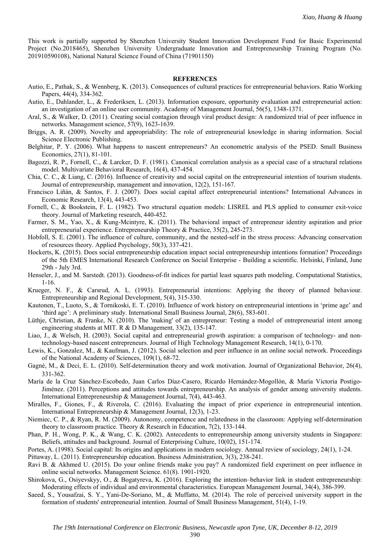This work is partially supported by Shenzhen University Student Innovation Development Fund for Basic Experimental Project (No.2018465), Shenzhen University Undergraduate Innovation and Entrepreneurship Training Program (No. 201910590108), National Natural Science Found of China (71901150)

#### **REFERENCES**

- Autio, E., Pathak, S., & Wennberg, K. (2013). Consequences of cultural practices for entrepreneurial behaviors. Ratio Working Papers, 44(4), 334-362.
- Autio, E., Dahlander, L., & Frederiksen, L. (2013). Information exposure, opportunity evaluation and entrepreneurial action: an investigation of an online user community. Academy of Management Journal, 56(5), 1348-1371.
- Aral, S., & Walker, D. (2011). Creating social contagion through viral product design: A randomized trial of peer influence in networks. Management science, 57(9), 1623-1639.
- Briggs, A. R. (2009). Novelty and appropriability: The role of entrepreneurial knowledge in sharing information. Social Science Electronic Publishing.
- Belghitar, P. Y. (2006). What happens to nascent entrepreneurs? An econometric analysis of the PSED. Small Business Economics, 27(1), 81-101.
- Bagozzi, R. P., Fornell, C., & Larcker, D. F. (1981). Canonical correlation analysis as a special case of a structural relations model. Multivariate Behavioral Research, 16(4), 437-454.
- Chia, C. C., & Liang, C. (2016). Influence of creativity and social capital on the entrepreneurial intention of tourism students. Journal of entrepreneurship, management and innovation, 12(2), 151-167.
- Francisco Liñán, & Santos, F. J. (2007). Does social capital affect entrepreneurial intentions? International Advances in Economic Research, 13(4), 443-453.
- Fornell, C., & Bookstein, F. L. (1982). Two structural equation models: LISREL and PLS applied to consumer exit-voice theory. Journal of Marketing research, 440-452.
- Farmer, S. M., Yao, X., & Kung-Mcintyre, K. (2011). The behavioral impact of entrepreneur identity aspiration and prior entrepreneurial experience. Entrepreneurship Theory & Practice, 35(2), 245-273.
- Hobfoll, S. E. (2001). The influence of culture, community, and the nested-self in the stress process: Advancing conservation of resources theory. Applied Psychology, 50(3), 337-421.
- Hockerts, K. (2015). Does social entrepreneurship education impact social entrepreneurship intentions formation? Proceedings of the 5th EMES International Research Conference on Social Enterprise - Building a scientific. Helsinki, Finland, June 29th - July 3rd.
- Henseler, J., and M. Sarstedt. (2013). Goodness-of-fit indices for partial least squares path modeling. Computational Statistics, 1-16.
- Krueger, N. F., & Carsrud, A. L. (1993). Entrepreneurial intentions: Applying the theory of planned behaviour. Entrepreneurship and Regional Development, 5(4), 315-330.
- Kautonen, T., Luoto, S., & Tornikoski, E. T. (2010). Influence of work history on entrepreneurial intentions in 'prime age' and 'third age': A preliminary study. International Small Business Journal, 28(6), 583-601.
- Lüthje, Christian, & Franke, N. (2010). The 'making' of an entrepreneur: Testing a model of entrepreneurial intent among engineering students at MIT. R & D Management, 33(2), 135-147.
- Liao, J., & Welsch, H. (2003). Social capital and entrepreneurial growth aspiration: a comparison of technology- and nontechnology-based nascent entrepreneurs. Journal of High Technology Management Research, 14(1), 0-170.
- Lewis, K., Gonzalez, M., & Kaufman, J. (2012). Social selection and peer influence in an online social network. Proceedings of the National Academy of Sciences, 109(1), 68-72.
- Gagné, M., & Deci, E. L. (2010). Self-determination theory and work motivation. Journal of Organizational Behavior, 26(4), 331-362.
- María de la Cruz Sánchez-Escobedo, Juan Carlos Díaz-Casero, Ricardo Hernández-Mogollón, & María Victoria Postigo-Jiménez. (2011). Perceptions and attitudes towards entrepreneurship. An analysis of gender among university students. International Entrepreneurship & Management Journal, 7(4), 443-463.
- Miralles, F., Giones, F., & Riverola, C. (2016). Evaluating the impact of prior experience in entrepreneurial intention. International Entrepreneurship & Management Journal, 12(3), 1-23.
- Niemiec, C. P., & Ryan, R. M. (2009). Autonomy, competence and relatedness in the classroom: Applying self-determination theory to classroom practice. Theory & Research in Education, 7(2), 133-144.
- Phan, P. H., Wong, P. K., & Wang, C. K. (2002). Antecedents to entrepreneurship among university students in Singapore: Beliefs, attitudes and background. Journal of Enterprising Culture, 10(02), 151-174.
- Portes, A. (1998). Social capital: Its origins and applications in modern sociology. Annual review of sociology, 24(1), 1-24.

Pittaway, L. (2011). Entrepreneurship education. Business Administration, 3(3), 238-241.

- Ravi B. & Akhmed U. (2015). Do your online friends make you pay? A randomized field experiment on peer influence in online social networks. Management Science. 61(8). 1901-1920.
- Shirokova, G., Osiyevskyy, O., & Bogatyreva, K. (2016). Exploring the intention–behavior link in student entrepreneurship: Moderating effects of individual and environmental characteristics. European Management Journal, 34(4), 386-399.
- Saeed, S., Yousafzai, S. Y., Yani-De-Soriano, M., & Muffatto, M. (2014). The role of perceived university support in the formation of students' entrepreneurial intention. Journal of Small Business Management, 51(4), 1-19.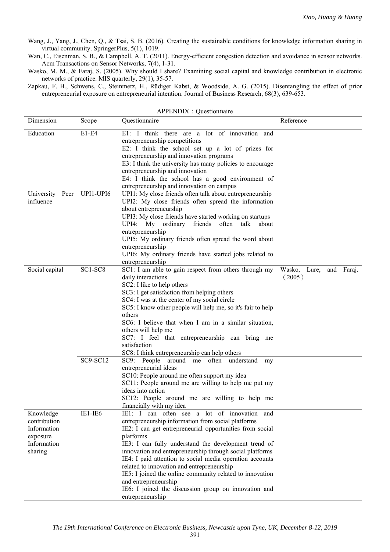Wang, J., Yang, J., Chen, Q., & Tsai, S. B. (2016). Creating the sustainable conditions for knowledge information sharing in virtual community. SpringerPlus, 5(1), 1019.

Wan, C., Eisenman, S. B., & Campbell, A. T. (2011). Energy-efficient congestion detection and avoidance in sensor networks. Acm Transactions on Sensor Networks, 7(4), 1-31.

Wasko, M. M., & Faraj, S. (2005). Why should I share? Examining social capital and knowledge contribution in electronic networks of practice. MIS quarterly, 29(1), 35-57.

Zapkau, F. B., Schwens, C., Steinmetz, H., Rüdiger Kabst, & Woodside, A. G. (2015). Disentangling the effect of prior entrepreneurial exposure on entrepreneurial intention. Journal of Business Research, 68(3), 639-653.

| APPENDIX : Questionnaire                                                       |                     |                                                                                                                                                                                                                                                                                                                                                                                                                                                                                                                                                                                                                                                                       |                                      |  |  |
|--------------------------------------------------------------------------------|---------------------|-----------------------------------------------------------------------------------------------------------------------------------------------------------------------------------------------------------------------------------------------------------------------------------------------------------------------------------------------------------------------------------------------------------------------------------------------------------------------------------------------------------------------------------------------------------------------------------------------------------------------------------------------------------------------|--------------------------------------|--|--|
| Dimension                                                                      | Scope               | Questionnaire                                                                                                                                                                                                                                                                                                                                                                                                                                                                                                                                                                                                                                                         | Reference                            |  |  |
| Education                                                                      | E1-E4               | E1: I think there are a lot of innovation and<br>entrepreneurship competitions<br>E2: I think the school set up a lot of prizes for<br>entrepreneurship and innovation programs<br>E3: I think the university has many policies to encourage<br>entrepreneurship and innovation<br>E4: I think the school has a good environment of<br>entrepreneurship and innovation on campus                                                                                                                                                                                                                                                                                      |                                      |  |  |
| University<br>influence                                                        | Peer UPI1-UPI6      | UPI1: My close friends often talk about entrepreneurship<br>UPI2: My close friends often spread the information<br>about entrepreneurship<br>UPI3: My close friends have started working on startups<br>UPI4: My ordinary friends often talk<br>about<br>entrepreneurship<br>UPI5: My ordinary friends often spread the word about<br>entrepreneurship<br>UPI6: My ordinary friends have started jobs related to<br>entrepreneurship                                                                                                                                                                                                                                  |                                      |  |  |
| Social capital                                                                 | SC1-SC8<br>SC9-SC12 | SC1: I am able to gain respect from others through my<br>daily interactions<br>SC2: I like to help others<br>SC3: I get satisfaction from helping others<br>SC4: I was at the center of my social circle<br>SC5: I know other people will help me, so it's fair to help<br>others<br>SC6: I believe that when I am in a similar situation,<br>others will help me<br>SC7: I feel that entrepreneurship can bring me<br>satisfaction<br>SC8: I think entrepreneurship can help others<br>SC9: People around me often understand<br>my<br>entrepreneurial ideas<br>SC10: People around me often support my idea<br>SC11: People around me are willing to help me put my | Wasko, Lure,<br>and Faraj.<br>(2005) |  |  |
|                                                                                |                     | ideas into action<br>SC12: People around me are willing to help me<br>financially with my idea                                                                                                                                                                                                                                                                                                                                                                                                                                                                                                                                                                        |                                      |  |  |
| Knowledge<br>contribution<br>Information<br>exposure<br>Information<br>sharing | IE1-IE6             | IE1: I can often see a lot of innovation and<br>entrepreneurship information from social platforms<br>IE2: I can get entrepreneurial opportunities from social<br>platforms<br>IE3: I can fully understand the development trend of<br>innovation and entrepreneurship through social platforms<br>IE4: I paid attention to social media operation accounts<br>related to innovation and entrepreneurship<br>IE5: I joined the online community related to innovation<br>and entrepreneurship<br>IE6: I joined the discussion group on innovation and<br>entrepreneurship                                                                                             |                                      |  |  |